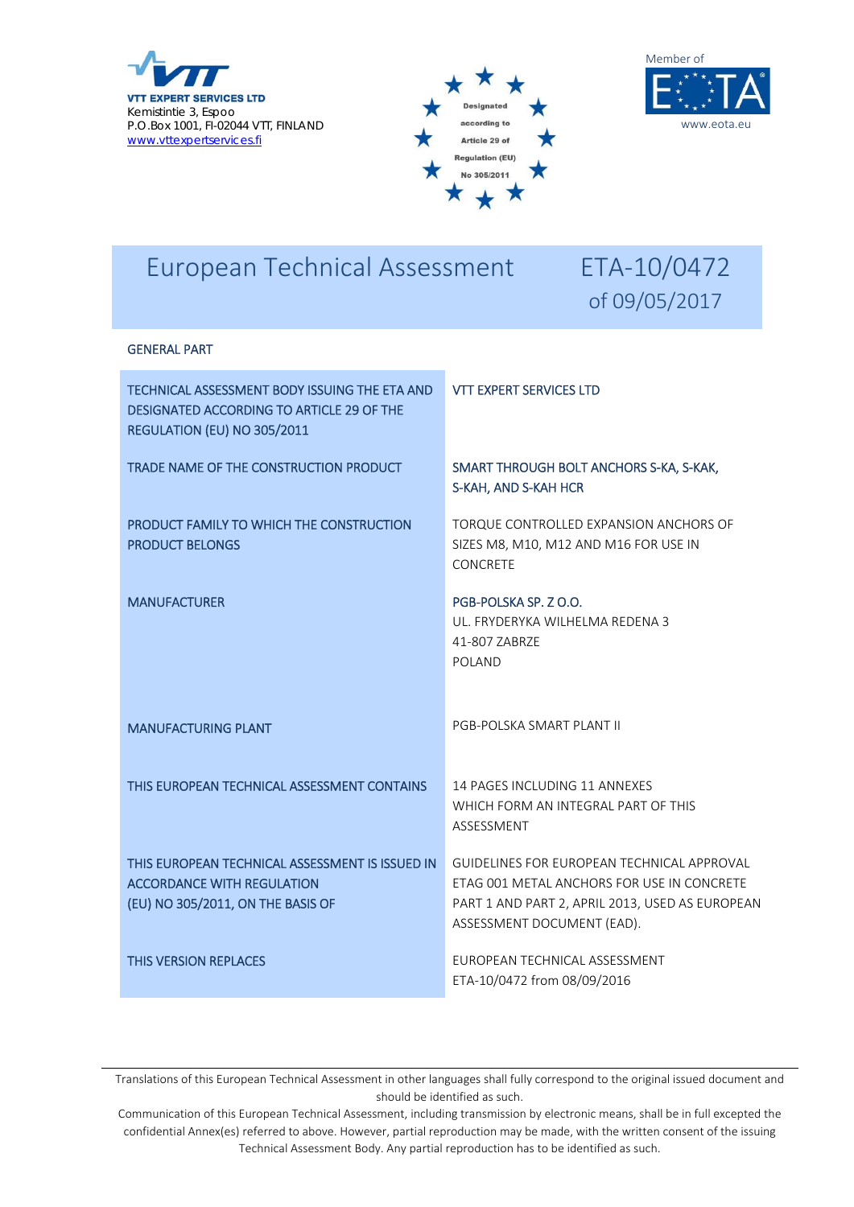





# European Technical Assessment ETA-10/0472

# of 09/05/2017

#### GENERAL PART

| TECHNICAL ASSESSMENT BODY ISSUING THE ETA AND<br>DESIGNATED ACCORDING TO ARTICLE 29 OF THE<br>REGULATION (EU) NO 305/2011 | <b>VIT EXPERT SERVICES LTD</b>                                                                                                                                            |
|---------------------------------------------------------------------------------------------------------------------------|---------------------------------------------------------------------------------------------------------------------------------------------------------------------------|
| TRADE NAME OF THE CONSTRUCTION PRODUCT                                                                                    | SMART THROUGH BOLT ANCHORS S-KA, S-KAK,<br>S-KAH, AND S-KAH HCR                                                                                                           |
| PRODUCT FAMILY TO WHICH THE CONSTRUCTION<br><b>PRODUCT BELONGS</b>                                                        | TORQUE CONTROLLED EXPANSION ANCHORS OF<br>SIZES M8, M10, M12 AND M16 FOR USE IN<br><b>CONCRETE</b>                                                                        |
| <b>MANUFACTURER</b>                                                                                                       | PGB-POLSKA SP. Z O.O.<br>UL. FRYDERYKA WILHELMA REDENA 3<br>41-807 ZABRZE<br>POLAND                                                                                       |
| <b>MANUFACTURING PLANT</b>                                                                                                | PGB-POLSKA SMART PLANT II                                                                                                                                                 |
| THIS EUROPEAN TECHNICAL ASSESSMENT CONTAINS                                                                               | 14 PAGES INCLUDING 11 ANNEXES<br>WHICH FORM AN INTEGRAL PART OF THIS<br>ASSESSMENT                                                                                        |
| THIS EUROPEAN TECHNICAL ASSESSMENT IS ISSUED IN<br><b>ACCORDANCE WITH REGULATION</b><br>(EU) NO 305/2011, ON THE BASIS OF | GUIDELINES FOR EUROPEAN TECHNICAL APPROVAL<br>ETAG 001 METAL ANCHORS FOR USE IN CONCRETE<br>PART 1 AND PART 2, APRIL 2013, USED AS EUROPEAN<br>ASSESSMENT DOCUMENT (EAD). |
| <b>THIS VERSION REPLACES</b>                                                                                              | EUROPEAN TECHNICAL ASSESSMENT<br>ETA-10/0472 from 08/09/2016                                                                                                              |

Translations of this European Technical Assessment in other languages shall fully correspond to the original issued document and should be identified as such.

Communication of this European Technical Assessment, including transmission by electronic means, shall be in full excepted the confidential Annex(es) referred to above. However, partial reproduction may be made, with the written consent of the issuing Technical Assessment Body. Any partial reproduction has to be identified as such.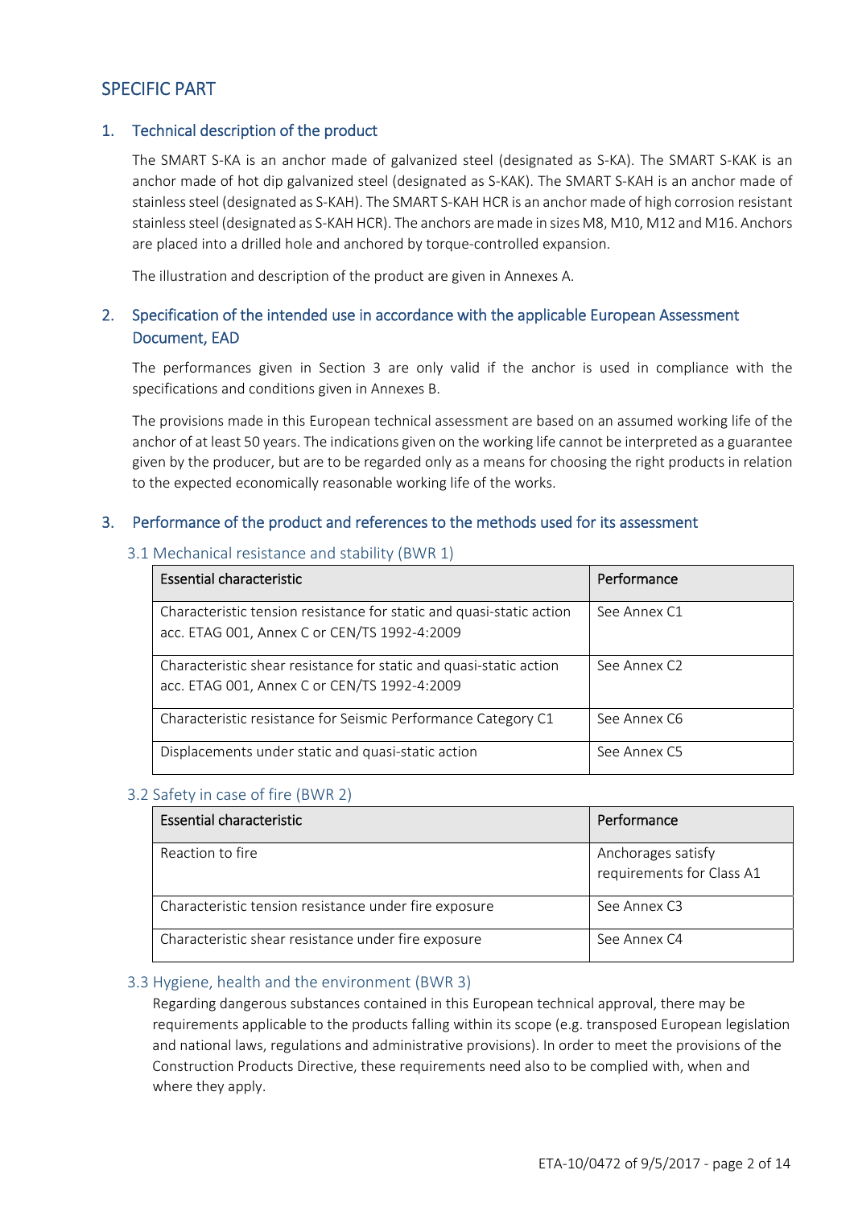# SPECIFIC PART

#### 1. Technical description of the product

The SMART S-KA is an anchor made of galvanized steel (designated as S-KA). The SMART S-KAK is an anchor made of hot dip galvanized steel (designated as S-KAK). The SMART S-KAH is an anchor made of stainlesssteel (designated as S‐KAH). The SMART S‐KAH HCR is an anchor made of high corrosion resistant stainless steel (designated as S-KAH HCR). The anchors are made in sizes M8, M10, M12 and M16. Anchors are placed into a drilled hole and anchored by torque‐controlled expansion.

The illustration and description of the product are given in Annexes A.

# 2. Specification of the intended use in accordance with the applicable European Assessment Document, EAD

The performances given in Section 3 are only valid if the anchor is used in compliance with the specifications and conditions given in Annexes B.

The provisions made in this European technical assessment are based on an assumed working life of the anchor of at least 50 years. The indications given on the working life cannot be interpreted as a guarantee given by the producer, but are to be regarded only as a means for choosing the right products in relation to the expected economically reasonable working life of the works.

#### 3. Performance of the product and references to the methods used for its assessment

#### 3.1 Mechanical resistance and stability (BWR 1)

| <b>Essential characteristic</b>                                                                                      | Performance              |
|----------------------------------------------------------------------------------------------------------------------|--------------------------|
| Characteristic tension resistance for static and quasi-static action<br>acc. ETAG 001, Annex C or CEN/TS 1992-4:2009 | See Annex C1             |
| Characteristic shear resistance for static and quasi-static action<br>acc. ETAG 001, Annex C or CEN/TS 1992-4:2009   | See Annex C <sub>2</sub> |
| Characteristic resistance for Seismic Performance Category C1                                                        | See Annex C6             |
| Displacements under static and quasi-static action                                                                   | See Annex C5             |

#### 3.2 Safety in case of fire (BWR 2)

| <b>Essential characteristic</b>                       | Performance                                     |
|-------------------------------------------------------|-------------------------------------------------|
| Reaction to fire                                      | Anchorages satisfy<br>requirements for Class A1 |
| Characteristic tension resistance under fire exposure | See Annex C3                                    |
| Characteristic shear resistance under fire exposure   | See Annex C4                                    |

#### 3.3 Hygiene, health and the environment (BWR 3)

Regarding dangerous substances contained in this European technical approval, there may be requirements applicable to the products falling within its scope (e.g. transposed European legislation and national laws, regulations and administrative provisions). In order to meet the provisions of the Construction Products Directive, these requirements need also to be complied with, when and where they apply.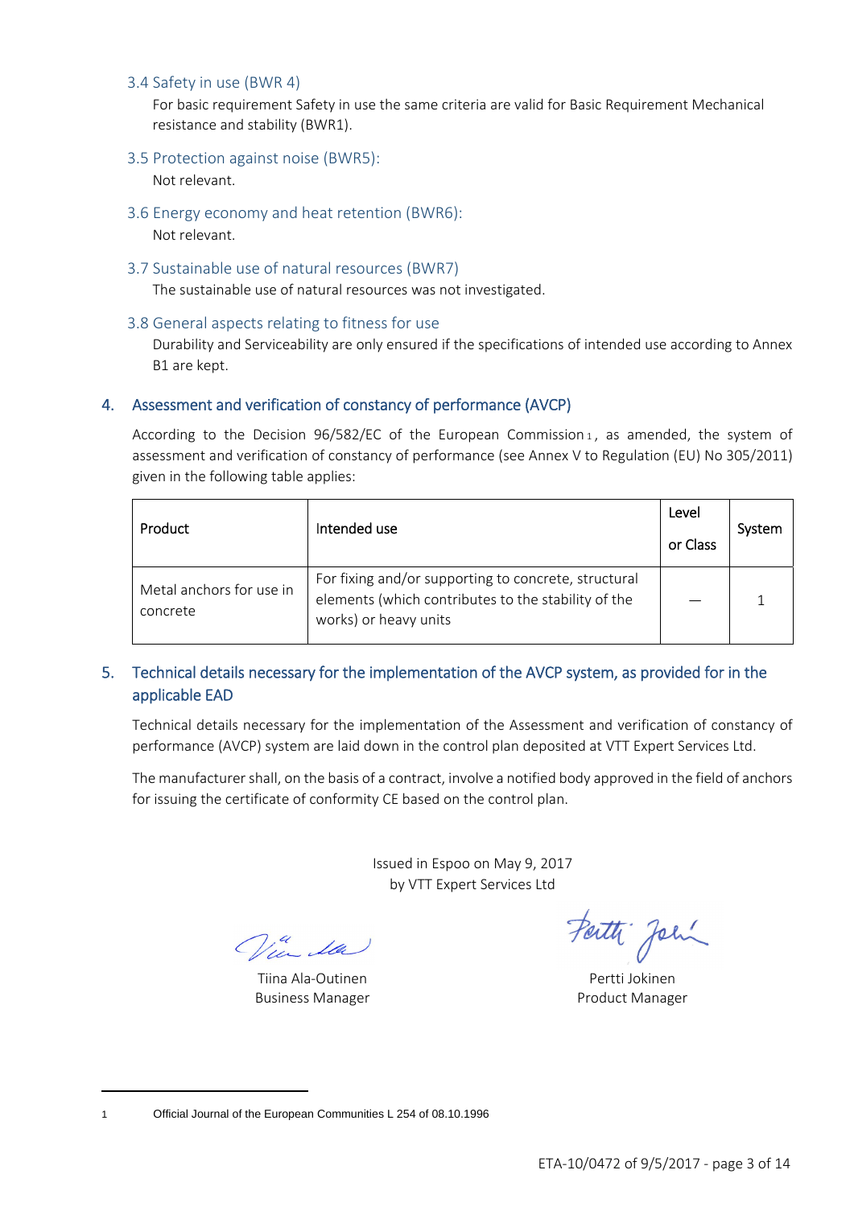#### 3.4 Safety in use (BWR 4)

For basic requirement Safety in use the same criteria are valid for Basic Requirement Mechanical resistance and stability (BWR1).

3.5 Protection against noise (BWR5):

Not relevant.

- 3.6 Energy economy and heat retention (BWR6): Not relevant.
- 3.7 Sustainable use of natural resources (BWR7)

The sustainable use of natural resources was not investigated.

3.8 General aspects relating to fitness for use

Durability and Serviceability are only ensured if the specifications of intended use according to Annex B1 are kept.

#### 4. Assessment and verification of constancy of performance (AVCP)

According to the Decision  $96/582/EC$  of the European Commission 1, as amended, the system of assessment and verification of constancy of performance (see Annex V to Regulation (EU) No 305/2011) given in the following table applies:

| Product                              | Intended use                                                                                                                         | Level<br>or Class | System |
|--------------------------------------|--------------------------------------------------------------------------------------------------------------------------------------|-------------------|--------|
| Metal anchors for use in<br>concrete | For fixing and/or supporting to concrete, structural<br>elements (which contributes to the stability of the<br>works) or heavy units |                   |        |

# 5. Technical details necessary for the implementation of the AVCP system, as provided for in the applicable EAD

Technical details necessary for the implementation of the Assessment and verification of constancy of performance (AVCP) system are laid down in the control plan deposited at VTT Expert Services Ltd.

The manufacturer shall, on the basis of a contract, involve a notified body approved in the field of anchors for issuing the certificate of conformity CE based on the control plan.

> Issued in Espoo on May 9, 2017 by VTT Expert Services Ltd

Win da

Tiina Ala-Outinen **Pertti Jokinen** Business Manager **Product Manager** Product Manager

Fatti John

<sup>1</sup> Official Journal of the European Communities L 254 of 08.10.1996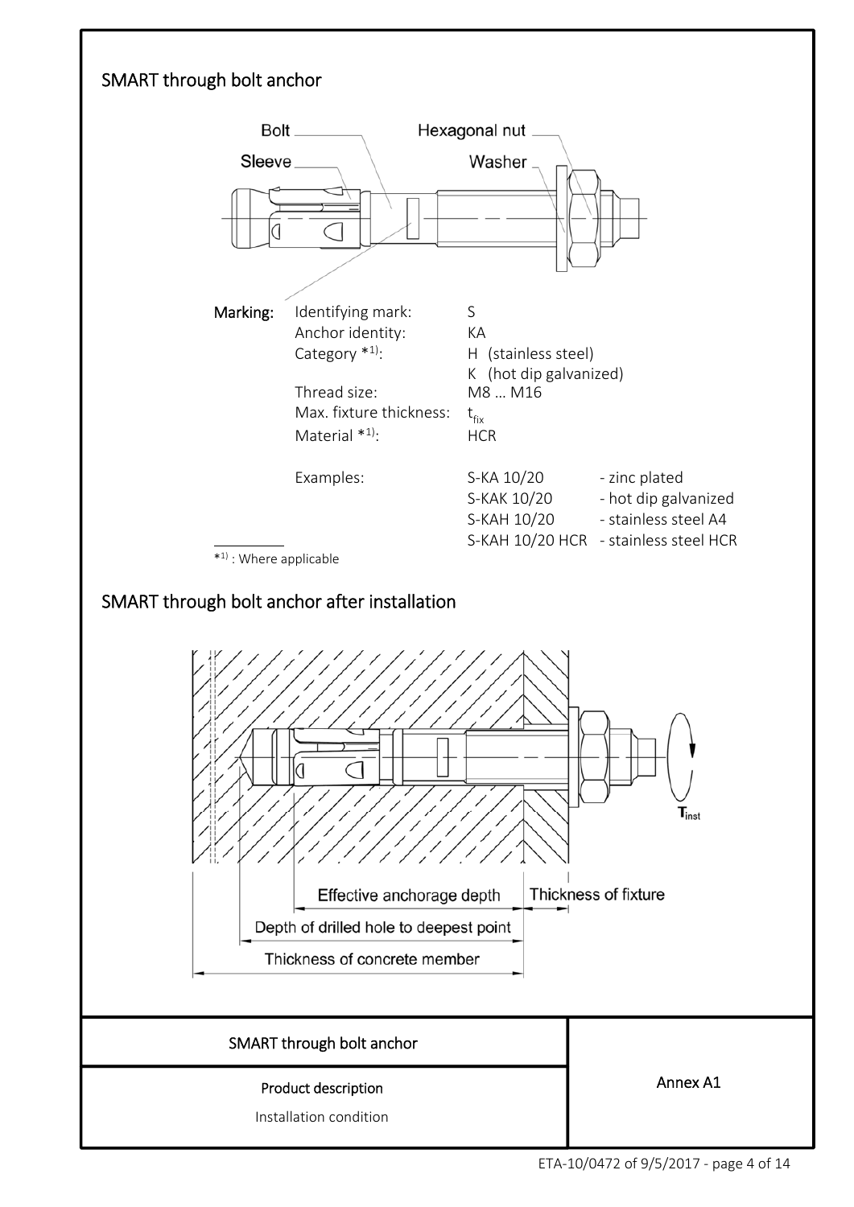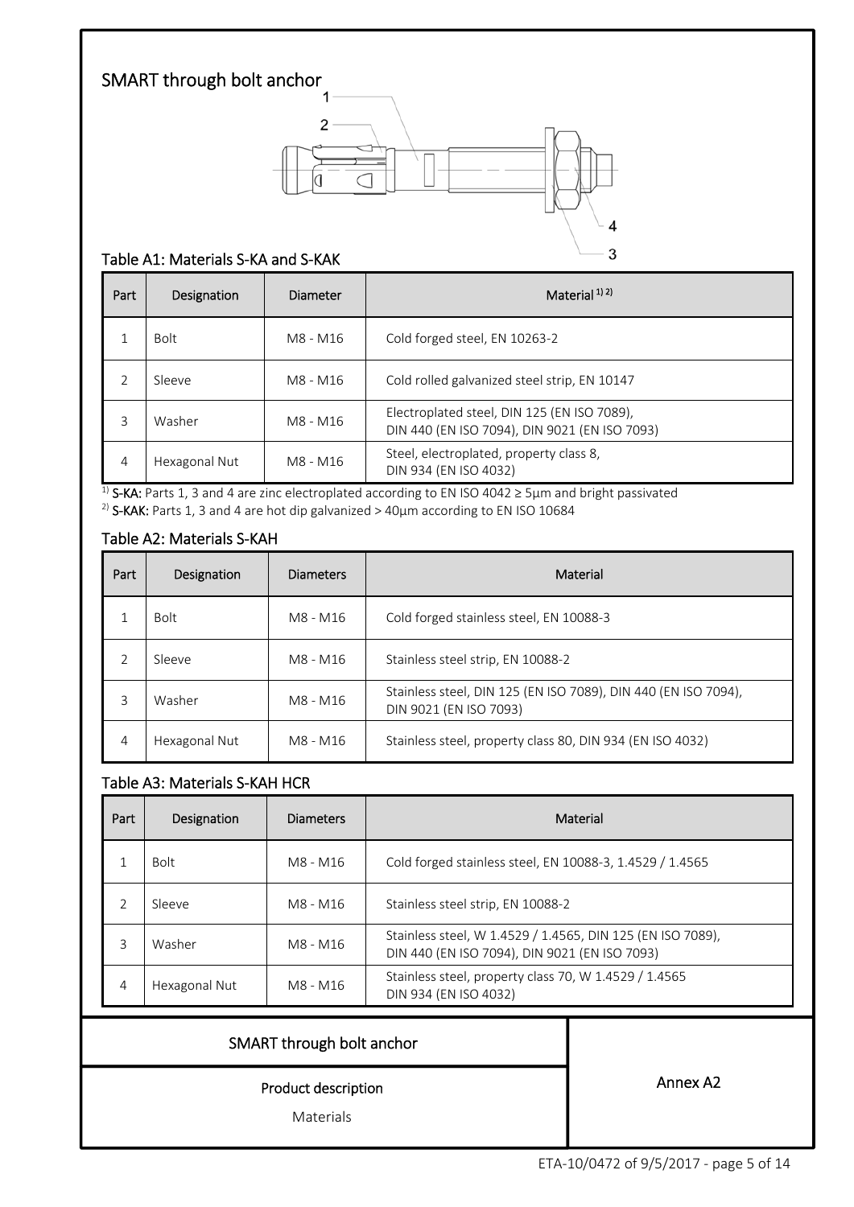

#### Table A1: Materials S‐KA and S‐KAK

| Part | Designation   | Diameter | Material <sup>1)2)</sup>                                                                     |
|------|---------------|----------|----------------------------------------------------------------------------------------------|
| 1    | <b>Bolt</b>   | M8 - M16 | Cold forged steel, EN 10263-2                                                                |
| 2    | Sleeve        | M8 - M16 | Cold rolled galvanized steel strip, EN 10147                                                 |
| 3    | Washer        | M8 - M16 | Electroplated steel, DIN 125 (EN ISO 7089),<br>DIN 440 (EN ISO 7094), DIN 9021 (EN ISO 7093) |
| 4    | Hexagonal Nut | M8 - M16 | Steel, electroplated, property class 8,<br>DIN 934 (EN ISO 4032)                             |

<sup>1)</sup> S-KA: Parts 1, 3 and 4 are zinc electroplated according to EN ISO 4042  $\geq$  5µm and bright passivated <sup>2)</sup> S-KAK: Parts 1, 3 and 4 are hot dip galvanized > 40 $\mu$ m according to EN ISO 10684

#### Table A2: Materials S‐KAH

| Part           | Designation   | <b>Diameters</b> | Material                                                                                 |
|----------------|---------------|------------------|------------------------------------------------------------------------------------------|
|                | <b>Bolt</b>   | M8 - M16         | Cold forged stainless steel, EN 10088-3                                                  |
| $\overline{2}$ | Sleeve        | M8 - M16         | Stainless steel strip, EN 10088-2                                                        |
| 3              | Washer        | M8 - M16         | Stainless steel, DIN 125 (EN ISO 7089), DIN 440 (EN ISO 7094),<br>DIN 9021 (EN ISO 7093) |
| 4              | Hexagonal Nut | M8 - M16         | Stainless steel, property class 80, DIN 934 (EN ISO 4032)                                |

## Table A3: Materials S‐KAH HCR

| Part | Designation   | <b>Diameters</b> | Material                                                                                                    |
|------|---------------|------------------|-------------------------------------------------------------------------------------------------------------|
|      | <b>Bolt</b>   | M8 - M16         | Cold forged stainless steel, EN 10088-3, 1.4529 / 1.4565                                                    |
|      | Sleeve        | M8 - M16         | Stainless steel strip, EN 10088-2                                                                           |
| 3    | Washer        | M8 - M16         | Stainless steel, W 1.4529 / 1.4565, DIN 125 (EN ISO 7089),<br>DIN 440 (EN ISO 7094), DIN 9021 (EN ISO 7093) |
| 4    | Hexagonal Nut | M8 - M16         | Stainless steel, property class 70, W 1.4529 / 1.4565<br>DIN 934 (EN ISO 4032)                              |
|      |               |                  |                                                                                                             |

## SMART through bolt anchor

Product description

Materials

Annex A2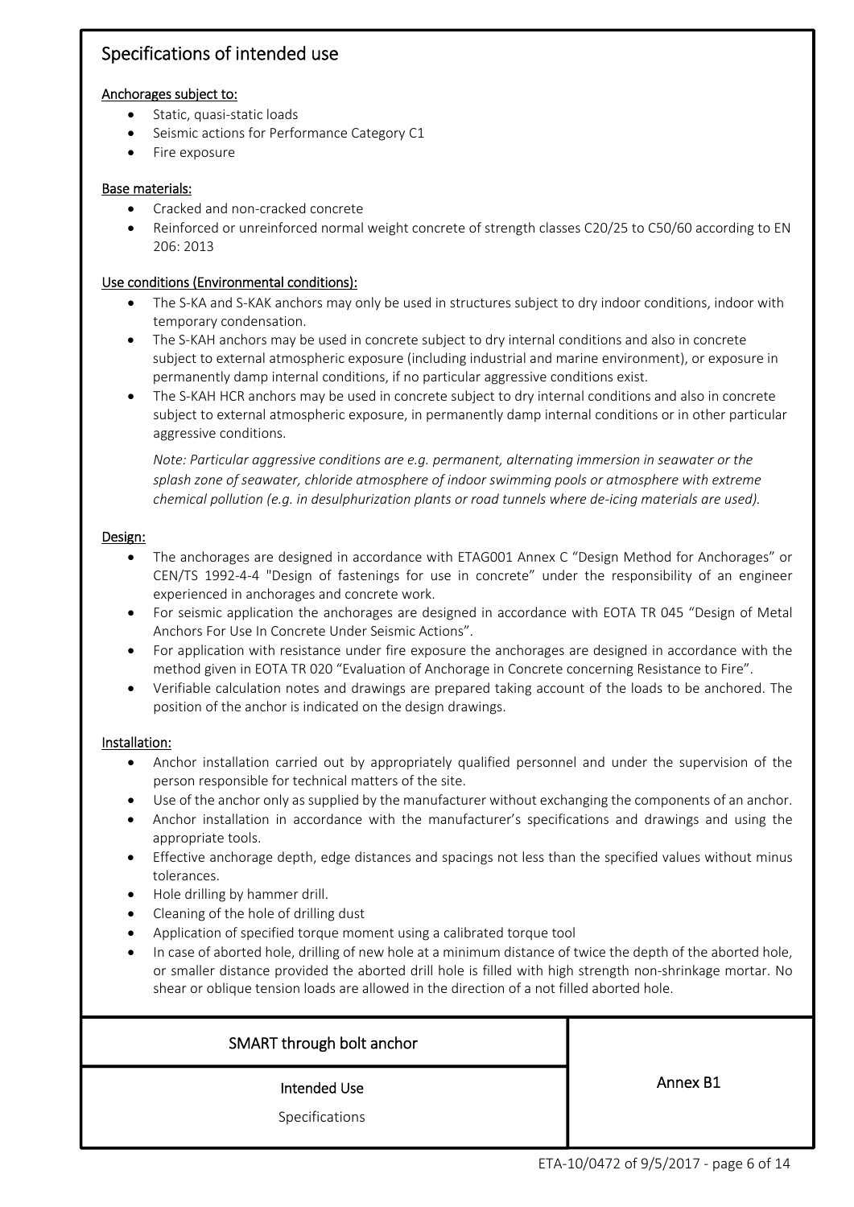# Specifications of intended use

#### Anchorages subject to:

- Static, quasi-static loads
- Seismic actions for Performance Category C1
- Fire exposure

#### Base materials:

- Cracked and non‐cracked concrete
- Reinforced or unreinforced normal weight concrete of strength classes C20/25 to C50/60 according to EN 206: 2013

#### Use conditions (Environmental conditions):

- The S-KA and S-KAK anchors may only be used in structures subject to dry indoor conditions, indoor with temporary condensation.
- The S-KAH anchors may be used in concrete subject to dry internal conditions and also in concrete subject to external atmospheric exposure (including industrial and marine environment), or exposure in permanently damp internal conditions, if no particular aggressive conditions exist.
- The S-KAH HCR anchors may be used in concrete subject to dry internal conditions and also in concrete subject to external atmospheric exposure, in permanently damp internal conditions or in other particular aggressive conditions.

*Note: Particular aggressive conditions are e.g. permanent, alternating immersion in seawater or the splash zone of seawater, chloride atmosphere of indoor swimming pools or atmosphere with extreme chemical pollution (e.g. in desulphurization plants or road tunnels where de‐icing materials are used).*

#### Design:

- The anchorages are designed in accordance with ETAG001 Annex C "Design Method for Anchorages" or CEN/TS 1992‐4‐4 "Design of fastenings for use in concrete" under the responsibility of an engineer experienced in anchorages and concrete work.
- For seismic application the anchorages are designed in accordance with EOTA TR 045 "Design of Metal Anchors For Use In Concrete Under Seismic Actions".
- For application with resistance under fire exposure the anchorages are designed in accordance with the method given in EOTA TR 020 "Evaluation of Anchorage in Concrete concerning Resistance to Fire".
- Verifiable calculation notes and drawings are prepared taking account of the loads to be anchored. The position of the anchor is indicated on the design drawings.

#### Installation:

- Anchor installation carried out by appropriately qualified personnel and under the supervision of the person responsible for technical matters of the site.
- Use of the anchor only as supplied by the manufacturer without exchanging the components of an anchor.
- Anchor installation in accordance with the manufacturer's specifications and drawings and using the appropriate tools.
- Effective anchorage depth, edge distances and spacings not less than the specified values without minus tolerances.
- Hole drilling by hammer drill.
- Cleaning of the hole of drilling dust
- Application of specified torque moment using a calibrated torque tool
- In case of aborted hole, drilling of new hole at a minimum distance of twice the depth of the aborted hole, or smaller distance provided the aborted drill hole is filled with high strength non‐shrinkage mortar. No shear or oblique tension loads are allowed in the direction of a not filled aborted hole.

#### SMART through bolt anchor

Intended Use

Annex B1

Specifications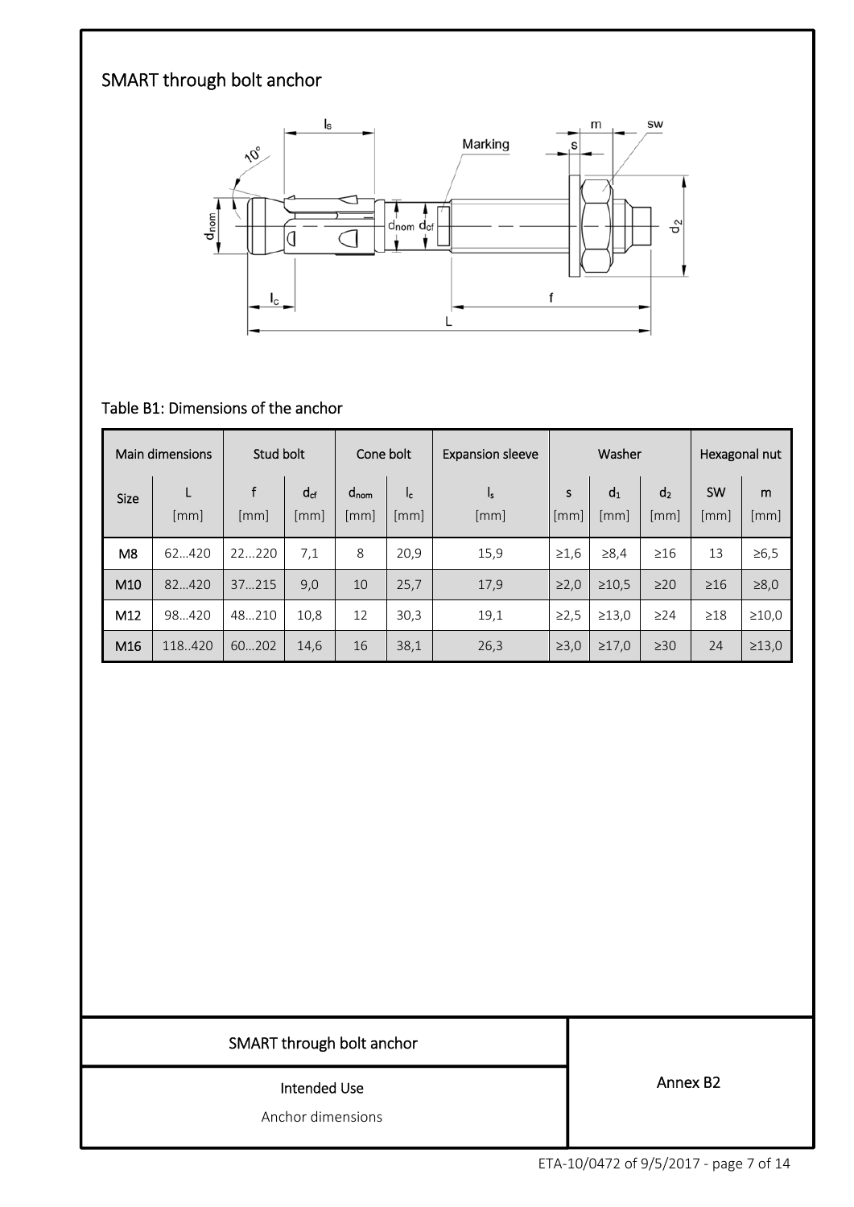# SMART through bolt anchor



# Table B1: Dimensions of the anchor

|                 | Main dimensions | Stud bolt |                  | Cone bolt                              |             | <b>Expansion sleeve</b> | Washer     |                        | Hexagonal nut          |                   |             |
|-----------------|-----------------|-----------|------------------|----------------------------------------|-------------|-------------------------|------------|------------------------|------------------------|-------------------|-------------|
| <b>Size</b>     | L<br>[mm]       | [mm]      | $d_{cf}$<br>[mm] | $d_{\text{nom}}$<br>$\lceil mm \rceil$ | Ic.<br>[mm] | S<br>ı,<br>[mm]<br>[mm] |            | d <sub>1</sub><br>[mm] | d <sub>2</sub><br>[mm] | <b>SW</b><br>[mm] | m<br>[mm]   |
| M <sub>8</sub>  | 62420           | 22220     | 7,1              | 8                                      | 20,9        | 15,9                    | $\geq 1.6$ | $\ge 8,4$              | $\geq 16$              | 13                | $\geq 6, 5$ |
| M <sub>10</sub> | 82420           | 37215     | 9,0              | 10                                     | 25,7        | 17,9                    | $\geq 2,0$ | $\geq 10.5$            | $\geq$ 20              | $\geq 16$         | $\geq 8,0$  |
| M12             | 98420           | 48.210    | 10,8             | 12                                     | 30,3        | 19,1                    | ≥2,5       | $\geq$ 13,0            | $\geq$ 24              | $\geq$ 18         | >10,0       |
| M16             | 118.420         | 60202     | 14,6             | 16                                     | 38,1        | 26,3                    | $\geq 3,0$ | $\geq 17,0$            | $\geq 30$              | 24                | $\geq 13,0$ |

# SMART through bolt anchor

#### Intended Use

Anchor dimensions

Annex B2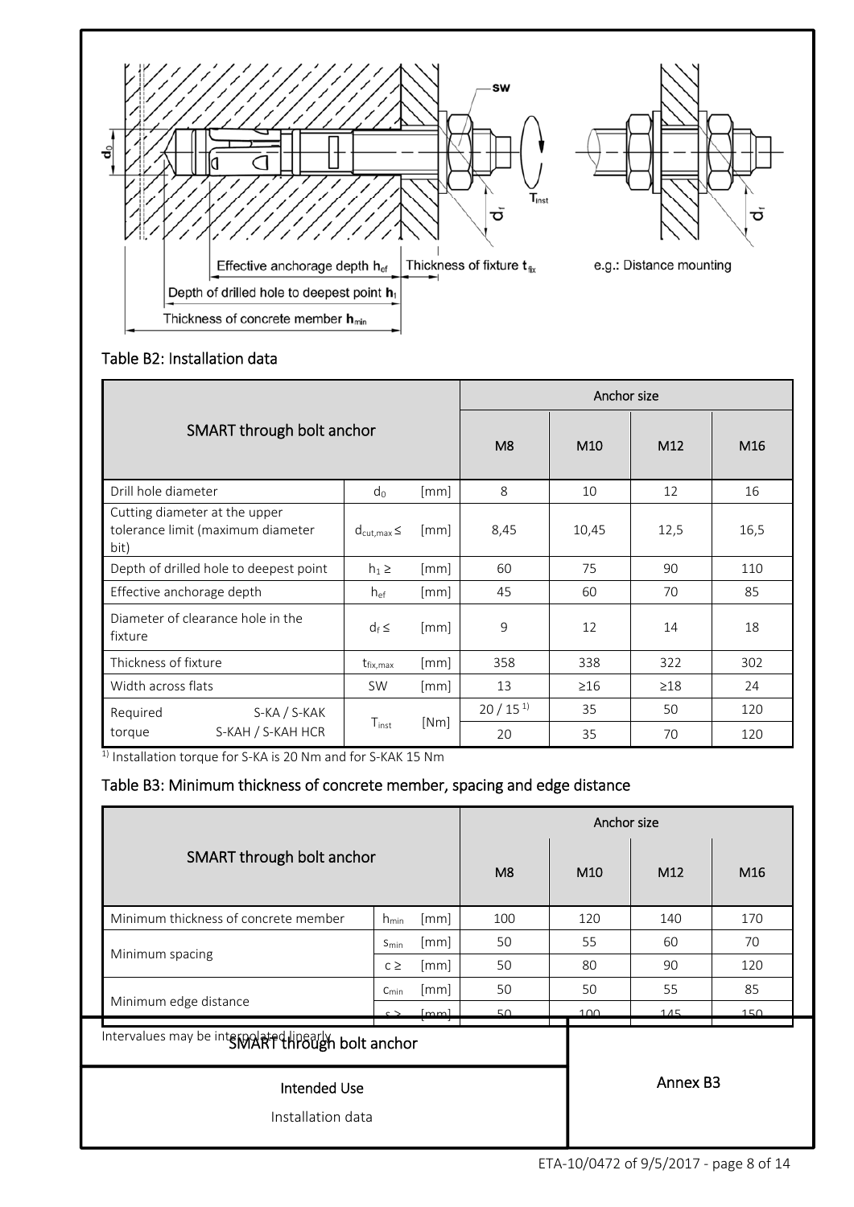

# Table B2: Installation data

|                                                                            | Anchor size               |                |                 |           |           |      |
|----------------------------------------------------------------------------|---------------------------|----------------|-----------------|-----------|-----------|------|
| SMART through bolt anchor                                                  |                           | M <sub>8</sub> | M <sub>10</sub> | M12       | M16       |      |
| Drill hole diameter                                                        | $d_0$                     | [mm]           | 8               | 10        | 12        | 16   |
| Cutting diameter at the upper<br>tolerance limit (maximum diameter<br>bit) | $d_{\text{cut,max}} \leq$ | [mm]           | 8,45            | 10,45     | 12,5      | 16,5 |
| Depth of drilled hole to deepest point                                     | $h_1 \geq$                | [mm]           | 60              | 75        | 90        | 110  |
| Effective anchorage depth                                                  | $h_{ef}$                  | [mm]           | 45              | 60        | 70        | 85   |
| Diameter of clearance hole in the<br>fixture                               | $d_f \leq$                | [mm]           | 9               | 12        | 14        | 18   |
| Thickness of fixture                                                       | $t_{fix,max}$             | [mm]           | 358             | 338       | 322       | 302  |
| Width across flats                                                         | <b>SW</b>                 | [mm]           | 13              | $\geq$ 16 | $\geq$ 18 | 24   |
| S-KA / S-KAK<br>Required                                                   |                           |                | $20/15^{1}$     | 35        | 50        | 120  |
| S-KAH / S-KAH HCR<br>torque                                                | $T_{inst}$                | [Nm]           | 20              | 35        | 70        | 120  |

1) Installation torque for S-KA is 20 Nm and for S-KAK 15 Nm

# Table B3: Minimum thickness of concrete member, spacing and edge distance

|                                                    |                   |      |     |                 | Anchor size          |     |  |  |  |
|----------------------------------------------------|-------------------|------|-----|-----------------|----------------------|-----|--|--|--|
| SMART through bolt anchor                          |                   |      | M8  | M <sub>10</sub> | M12                  | M16 |  |  |  |
| Minimum thickness of concrete member               | $h_{\text{min}}$  | [mm] | 100 | 120             | 140                  | 170 |  |  |  |
| Minimum spacing                                    | $S_{\text{min}}$  | [mm] | 50  | 55              | 60                   | 70  |  |  |  |
|                                                    | $c \geq$          | [mm] | 50  | 80              | 90                   | 120 |  |  |  |
|                                                    | $C_{\text{min}}$  | [mm] | 50  | 50              | 55                   | 85  |  |  |  |
| Minimum edge distance                              | $\sim$            | [mm] | 50  | 100             | 115                  | 150 |  |  |  |
| Intervalues may be intervalated HP602h bolt anchor |                   |      |     |                 |                      |     |  |  |  |
| <b>Intended Use</b>                                |                   |      |     |                 | Annex B <sub>3</sub> |     |  |  |  |
|                                                    | Installation data |      |     |                 |                      |     |  |  |  |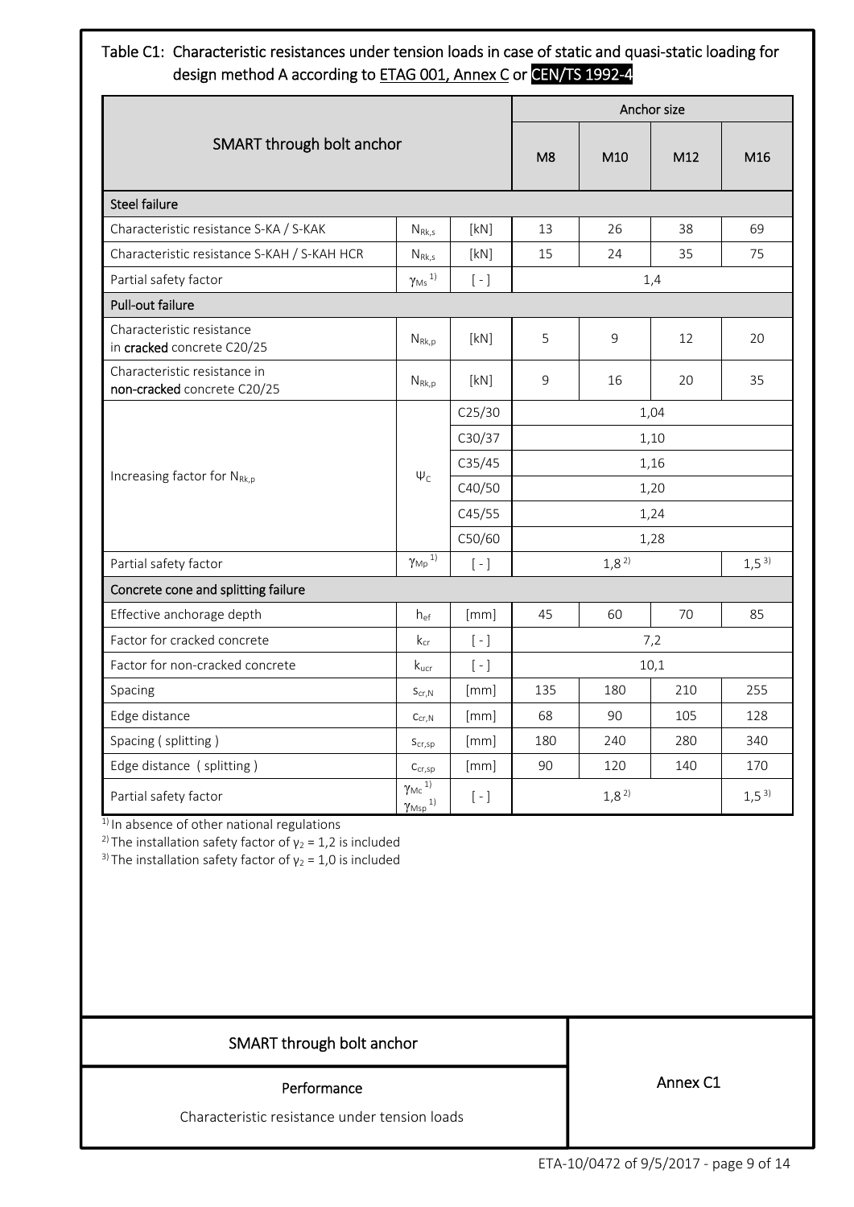# Table C1: Characteristic resistances under tension loads in case of static and quasi-static loading for design method A according to ETAG 001, Annex C or CEN/TS 1992-4

|                                                             |                                                                     |                                               |                |           | Anchor size |           |  |
|-------------------------------------------------------------|---------------------------------------------------------------------|-----------------------------------------------|----------------|-----------|-------------|-----------|--|
| SMART through bolt anchor                                   |                                                                     |                                               | M <sub>8</sub> | M10       | M12         | M16       |  |
| <b>Steel failure</b>                                        |                                                                     |                                               |                |           |             |           |  |
| Characteristic resistance S-KA / S-KAK                      | $N_{Rk,s}$                                                          | [kN]                                          | 13             | 26        | 38          | 69        |  |
| Characteristic resistance S-KAH / S-KAH HCR                 | $N_{Rk,s}$                                                          | [kN]                                          | 15             | 24        | 35          | 75        |  |
| Partial safety factor                                       | $\gamma_\text{Ms}$ 1)                                               | $[-]$                                         |                |           | 1,4         |           |  |
| Pull-out failure                                            |                                                                     |                                               |                |           |             |           |  |
| Characteristic resistance<br>in cracked concrete C20/25     | $N_{\rm Rk,p}$                                                      | [kN]                                          | 5              | 9         | 12          | 20        |  |
| Characteristic resistance in<br>non-cracked concrete C20/25 | $N_{Rk,p}$                                                          | [kN]                                          | 9              | 16        | 20          | 35        |  |
|                                                             |                                                                     | C <sub>25/30</sub>                            | 1,04           |           |             |           |  |
|                                                             |                                                                     | C30/37                                        | 1,10           |           |             |           |  |
|                                                             |                                                                     | C35/45                                        | 1,16           |           |             |           |  |
| Increasing factor for NRK,p                                 | $\Psi_{C}$                                                          | C40/50                                        |                | 1,20      |             |           |  |
|                                                             |                                                                     | C45/55                                        | 1,24           |           |             |           |  |
|                                                             |                                                                     | C50/60                                        | 1,28           |           |             |           |  |
| Partial safety factor                                       | $\gamma_{Mp}$ $^{1)}$                                               | $[-]$                                         |                | $1,8^{2}$ |             | $1,5^{3}$ |  |
| Concrete cone and splitting failure                         |                                                                     |                                               |                |           |             |           |  |
| Effective anchorage depth                                   | hef                                                                 | [mm]                                          | 45             | 60        | 70          | 85        |  |
| Factor for cracked concrete                                 | $k_{cr}$                                                            | $\left[ -\right]$                             |                |           | 7,2         |           |  |
| Factor for non-cracked concrete                             | $k_{\text{ucr}}$                                                    | $[ - ]$                                       | 10,1           |           |             |           |  |
| Spacing                                                     | $S_{cr,N}$                                                          | [mm]                                          | 135            | 180       | 210         | 255       |  |
| Edge distance                                               | $C_{cr,N}$                                                          | [mm]                                          | 68             | 90        | 105         | 128       |  |
| Spacing (splitting)                                         | $S_{cr,sp}$                                                         | [mm]                                          | 180            | 240       | 280         | 340       |  |
| Edge distance (splitting)                                   | $C_{cr,sp}$                                                         | [mm]                                          | 90             | 120       | 140         | 170       |  |
| Partial safety factor                                       | $\gamma_\text{Mc}$ $\overline{^{1)}}$<br>$\gamma_{\mathsf{Msp}}$ 1) | $\left[\begin{array}{c} - \end{array}\right]$ |                | $1,8^{2}$ |             | $1,5^{3}$ |  |

 $1)$  In absence of other national regulations

<sup>2)</sup> The installation safety factor of  $\gamma_2$  = 1,2 is included

<sup>3)</sup> The installation safety factor of  $y_2 = 1.0$  is included

# SMART through bolt anchor

#### Performance

Characteristic resistance under tension loads

Annex C1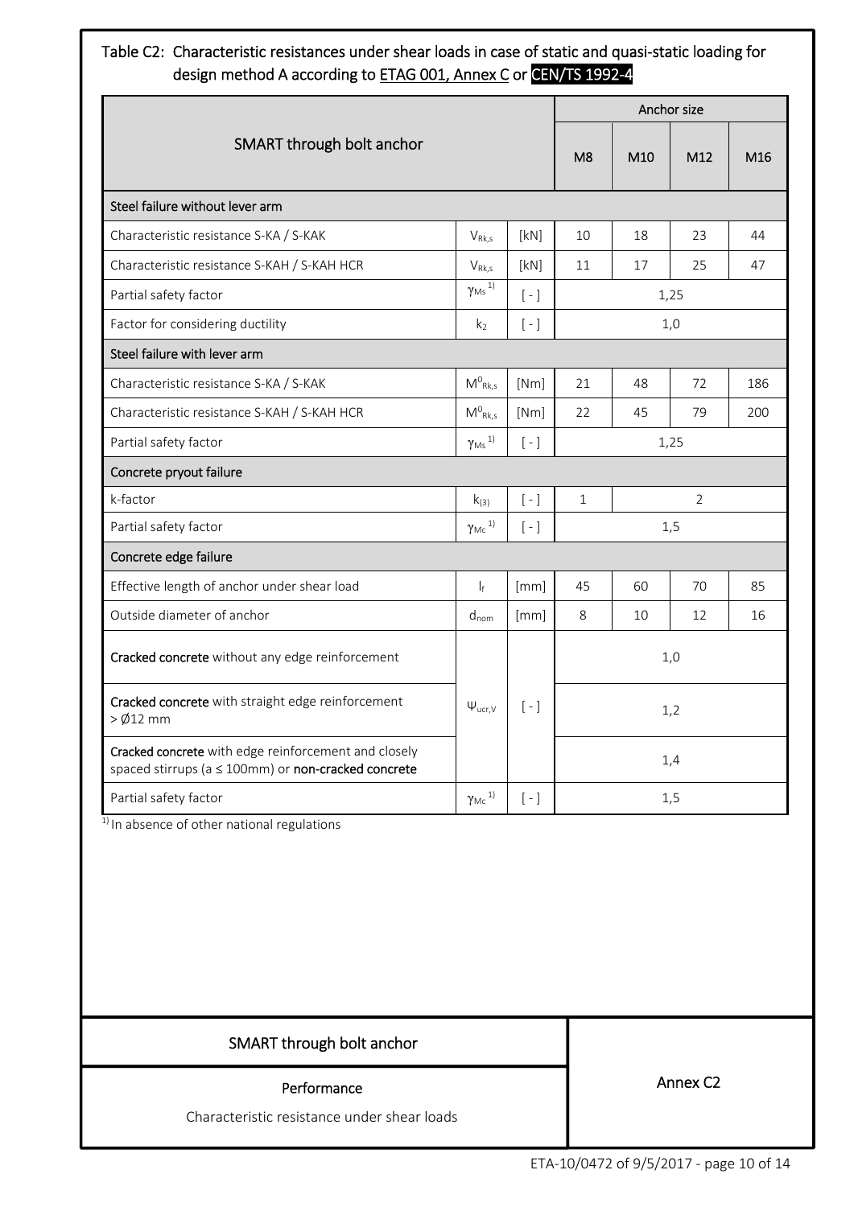# Table C2: Characteristic resistances under shear loads in case of static and quasi‐static loading for design method A according to ETAG 001, Annex C or CEN/TS 1992-4

|                                                                                                             |                                       |                   |                |                 | Anchor size |     |
|-------------------------------------------------------------------------------------------------------------|---------------------------------------|-------------------|----------------|-----------------|-------------|-----|
| SMART through bolt anchor                                                                                   |                                       |                   | M <sub>8</sub> | M <sub>10</sub> | M12         | M16 |
| Steel failure without lever arm                                                                             |                                       |                   |                |                 |             |     |
| Characteristic resistance S-KA / S-KAK                                                                      | $V_{Rk,s}$                            | [kN]              | 10             | 18              | 23          | 44  |
| Characteristic resistance S-KAH / S-KAH HCR                                                                 | $V_{Rk,s}$                            | [kN]              | 11             | 17              | 25          | 47  |
| Partial safety factor                                                                                       | $\gamma_\mathsf{Ms}$ 1)               | $[-]$             |                |                 | 1,25        |     |
| Factor for considering ductility                                                                            | k <sub>2</sub>                        | $[-]$             |                |                 | 1,0         |     |
| Steel failure with lever arm                                                                                |                                       |                   |                |                 |             |     |
| Characteristic resistance S-KA / S-KAK                                                                      | $M^0_{Rk,s}$                          | [Nm]              | 21             | 48              | 72          | 186 |
| Characteristic resistance S-KAH / S-KAH HCR                                                                 | $M^0_{Rk,s}$                          | [Nm]              | 22             | 45              | 79          | 200 |
| Partial safety factor                                                                                       | $\gamma_\mathsf{Ms}$ 1)               | $[-]$             |                | 1,25            |             |     |
| Concrete pryout failure                                                                                     |                                       |                   |                |                 |             |     |
| k-factor                                                                                                    | $k_{(3)}$                             | $[-]$             | $\mathbf{1}$   | $\overline{2}$  |             |     |
| Partial safety factor                                                                                       | $\gamma_\text{Mc}$ 1)                 | $\left[ -\right]$ |                |                 | 1,5         |     |
| Concrete edge failure                                                                                       |                                       |                   |                |                 |             |     |
| Effective length of anchor under shear load                                                                 | $\vert_{f}$                           | [mm]              | 45             | 60              | 70          | 85  |
| Outside diameter of anchor                                                                                  | $d_{nom}$                             | [mm]              | 8              | 10              | 12          | 16  |
| Cracked concrete without any edge reinforcement                                                             |                                       |                   | 1,0            |                 |             |     |
| Cracked concrete with straight edge reinforcement<br>$>$ Ø12 mm                                             | $\Psi_{\text{ucr,V}}$                 | $\left[ -\right]$ |                |                 | 1,2         |     |
| Cracked concrete with edge reinforcement and closely<br>spaced stirrups (a ≤ 100mm) or non-cracked concrete |                                       |                   |                |                 | 1,4         |     |
| Partial safety factor                                                                                       | $\gamma$ <sub>Mc</sub> <sup>1</sup> ) | $\left[ -\right]$ |                |                 | 1,5         |     |

<sup>1)</sup> In absence of other national regulations

SMART through bolt anchor

#### Performance

Characteristic resistance under shear loads

Annex C2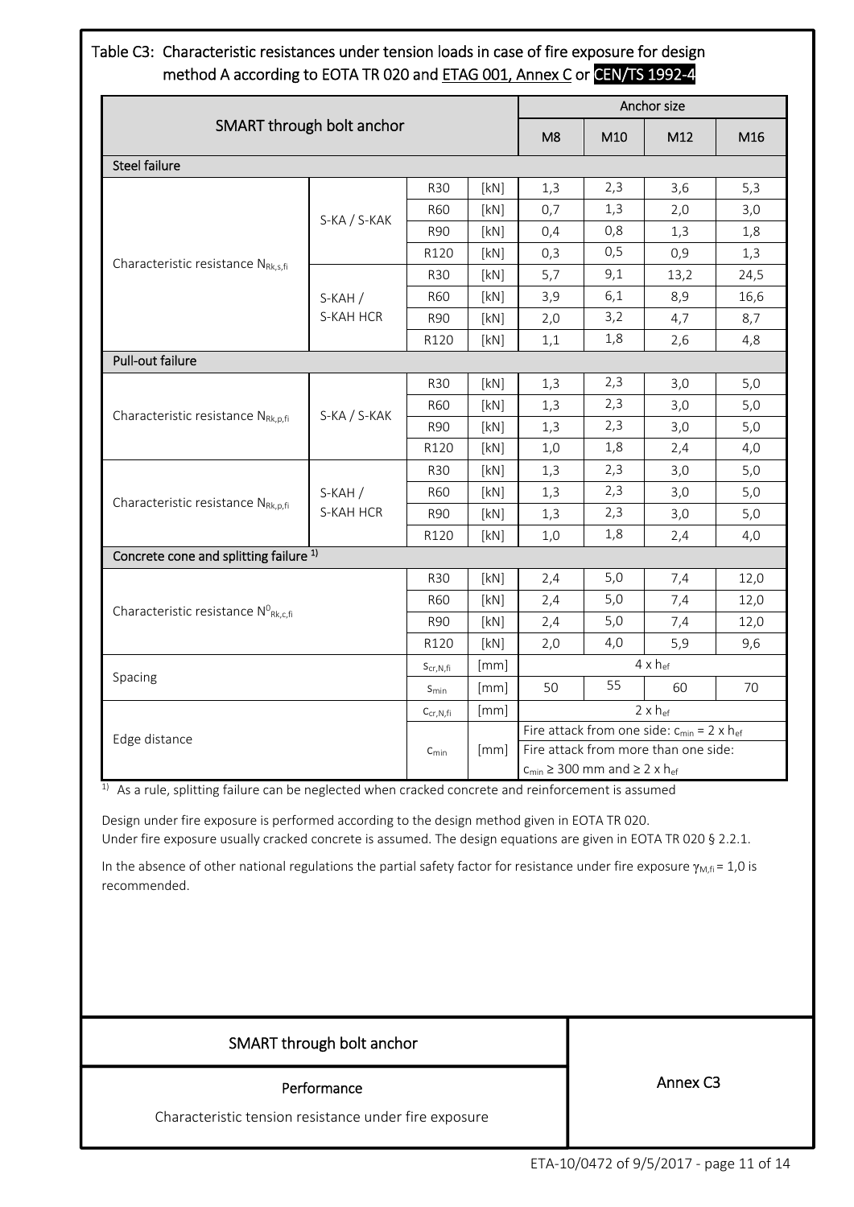# Table C3: Characteristic resistances under tension loads in case of fire exposure for design method A according to EOTA TR 020 and ETAG 001, Annex C or CEN/TS 1992-4

|                                                         |                           |                                    | Anchor size |                                      |     |                                                                                                             |      |
|---------------------------------------------------------|---------------------------|------------------------------------|-------------|--------------------------------------|-----|-------------------------------------------------------------------------------------------------------------|------|
|                                                         | SMART through bolt anchor |                                    |             | M <sub>8</sub>                       | M10 | M12                                                                                                         | M16  |
| <b>Steel failure</b>                                    |                           |                                    |             |                                      |     |                                                                                                             |      |
|                                                         |                           | <b>R30</b>                         | [kN]        | 1,3                                  | 2,3 | 3,6                                                                                                         | 5,3  |
|                                                         | S-KA / S-KAK              | <b>R60</b>                         | [kN]        | 0,7                                  | 1,3 | 2,0                                                                                                         | 3,0  |
|                                                         |                           | <b>R90</b>                         | [kN]        | 0,4                                  | 0,8 | 1,3                                                                                                         | 1,8  |
|                                                         |                           | R120                               | [kN]        | 0,3                                  | 0,5 | 0,9                                                                                                         | 1,3  |
| Characteristic resistance NRK,s,fi                      |                           | <b>R30</b>                         | [kN]        | 5,7                                  | 9,1 | 13,2                                                                                                        | 24,5 |
|                                                         | $S-KAH/$                  | <b>R60</b>                         | [kN]        | 3,9                                  | 6,1 | 8,9                                                                                                         | 16,6 |
|                                                         | S-KAH HCR                 | <b>R90</b>                         | [kN]        | 2,0                                  | 3,2 | 4,7                                                                                                         | 8,7  |
|                                                         |                           | R120                               | [kN]        | 1,1                                  | 1,8 | 2,6                                                                                                         | 4,8  |
| <b>Pull-out failure</b>                                 |                           |                                    |             |                                      |     |                                                                                                             |      |
|                                                         |                           | <b>R30</b>                         | [kN]        | 1,3                                  | 2,3 | 3,0                                                                                                         | 5,0  |
|                                                         |                           | <b>R60</b>                         | [kN]        | 1,3                                  | 2,3 | 3,0                                                                                                         | 5,0  |
| Characteristic resistance NRk, p, fi                    |                           | S-KA / S-KAK<br><b>R90</b><br>R120 | [kN]        | 1,3                                  | 2,3 | 3,0                                                                                                         | 5,0  |
|                                                         |                           |                                    | [kN]        | 1,0                                  | 1,8 | 2,4<br>3,0<br>3,0<br>3,0<br>2,4<br>7,4<br>7,4<br>7,4<br>5,9<br>$4 \times h_{ef}$<br>60<br>$2 \times h_{ef}$ | 4,0  |
|                                                         |                           | <b>R30</b>                         | [kN]        | 1,3                                  | 2,3 |                                                                                                             | 5,0  |
|                                                         | $S-KAH/$                  | <b>R60</b>                         | [kN]        | 1,3                                  | 2,3 |                                                                                                             | 5,0  |
| Characteristic resistance NRk, p, fi                    | S-KAH HCR                 | <b>R90</b>                         | [kN]        | 1,3                                  | 2,3 |                                                                                                             | 5,0  |
|                                                         |                           | R120                               | [kN]        | 1,0                                  | 1,8 |                                                                                                             | 4,0  |
| Concrete cone and splitting failure <sup>1)</sup>       |                           |                                    |             |                                      |     |                                                                                                             |      |
|                                                         |                           | <b>R30</b>                         | [kN]        | 2,4                                  | 5,0 |                                                                                                             | 12,0 |
| Characteristic resistance $N^0_{\text{Rk},\text{c,fi}}$ |                           | <b>R60</b>                         | [kN]        | 2,4                                  | 5,0 |                                                                                                             | 12,0 |
|                                                         |                           | <b>R90</b>                         | [kN]        | 2,4                                  | 5,0 |                                                                                                             | 12,0 |
|                                                         |                           | R120                               | [kN]        | 2,0                                  | 4,0 |                                                                                                             | 9,6  |
|                                                         |                           | $S_{cr,N,fi}$                      | [mm]        |                                      |     |                                                                                                             |      |
| Spacing                                                 |                           | $S_{min}$                          | [mm]        | 50                                   | 55  |                                                                                                             | 70   |
|                                                         |                           | $C_{cr,N,fi}$                      | [mm]        |                                      |     |                                                                                                             |      |
| Edge distance                                           |                           |                                    |             |                                      |     |                                                                                                             |      |
|                                                         |                           | [mm]<br>$C_{min}$                  |             | Fire attack from more than one side: |     |                                                                                                             |      |
|                                                         |                           |                                    |             |                                      |     | Fire attack from one side: $c_{min} = 2 \times h_{ef}$<br>$c_{min} \geq 300$ mm and $\geq 2 \times h_{ef}$  |      |

 $1)$  As a rule, splitting failure can be neglected when cracked concrete and reinforcement is assumed

Design under fire exposure is performed according to the design method given in EOTA TR 020. Under fire exposure usually cracked concrete is assumed. The design equations are given in EOTA TR 020 § 2.2.1.

In the absence of other national regulations the partial safety factor for resistance under fire exposure  $\gamma_{M,fi}$  = 1,0 is recommended.

| SMART through bolt anchor                             |                      |
|-------------------------------------------------------|----------------------|
| Performance                                           | Annex C <sub>3</sub> |
| Characteristic tension resistance under fire exposure |                      |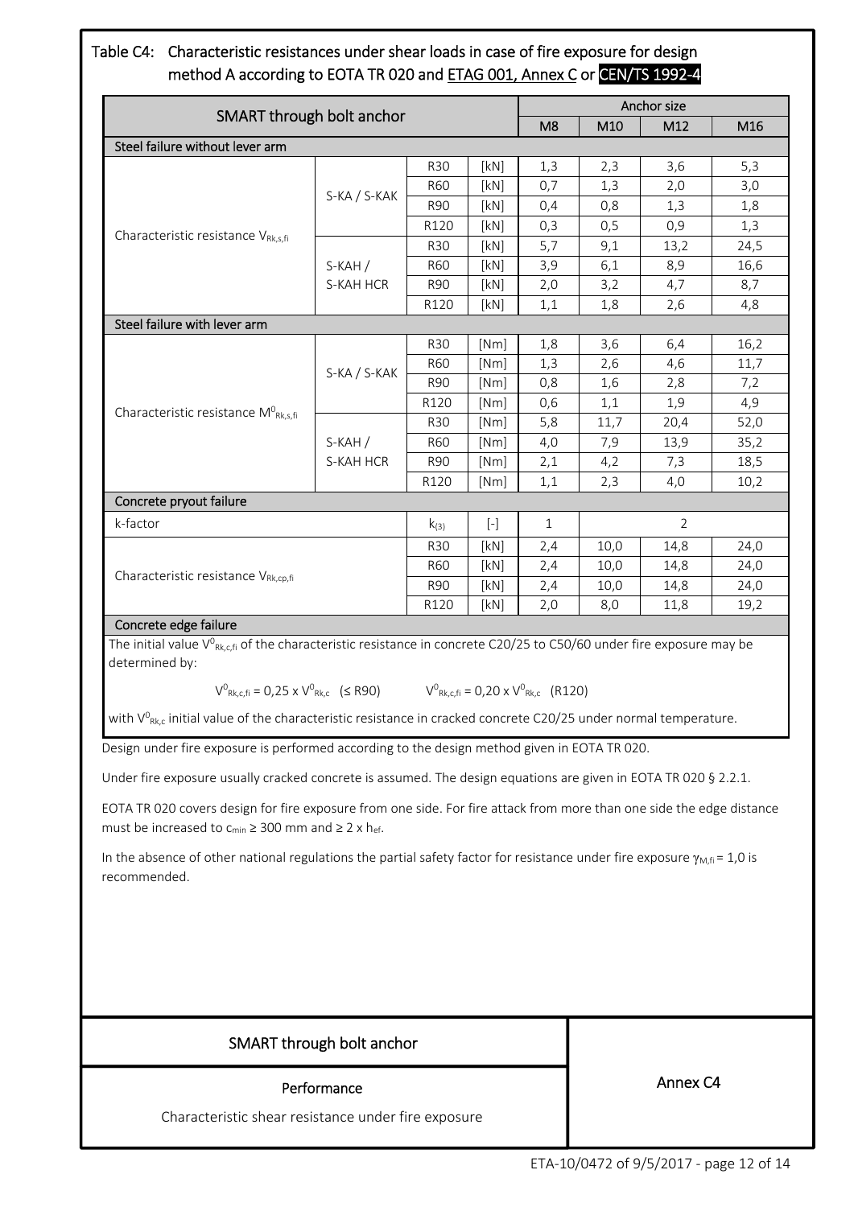# Table C4: Characteristic resistances under shear loads in case of fire exposure for design method A according to EOTA TR 020 and ETAG 001, Annex C or CEN/TS 1992-4

|                                                                                                                                                                                                                                                                                                                                                                                                               | Anchor size               |            |                                                                                                                                                                                        |              |                     |                                                                                                                                                                   |      |  |
|---------------------------------------------------------------------------------------------------------------------------------------------------------------------------------------------------------------------------------------------------------------------------------------------------------------------------------------------------------------------------------------------------------------|---------------------------|------------|----------------------------------------------------------------------------------------------------------------------------------------------------------------------------------------|--------------|---------------------|-------------------------------------------------------------------------------------------------------------------------------------------------------------------|------|--|
| SMART through bolt anchor                                                                                                                                                                                                                                                                                                                                                                                     |                           |            | M <sub>8</sub>                                                                                                                                                                         | M10          | M12                 | M16                                                                                                                                                               |      |  |
| Steel failure without lever arm                                                                                                                                                                                                                                                                                                                                                                               |                           |            |                                                                                                                                                                                        |              |                     |                                                                                                                                                                   |      |  |
|                                                                                                                                                                                                                                                                                                                                                                                                               |                           | <b>R30</b> | [kN]                                                                                                                                                                                   | 1,3          | 2,3                 |                                                                                                                                                                   | 5,3  |  |
|                                                                                                                                                                                                                                                                                                                                                                                                               |                           | R60        | [kN]                                                                                                                                                                                   | 0,7          | 1,3                 |                                                                                                                                                                   | 3,0  |  |
|                                                                                                                                                                                                                                                                                                                                                                                                               | S-KA / S-KAK              | <b>R90</b> | [kN]                                                                                                                                                                                   | 0,4          | 0,8                 |                                                                                                                                                                   | 1,8  |  |
|                                                                                                                                                                                                                                                                                                                                                                                                               |                           | R120       | [kN]                                                                                                                                                                                   | 0,3          | 0,5                 |                                                                                                                                                                   | 1,3  |  |
| Characteristic resistance VRk,s,fi                                                                                                                                                                                                                                                                                                                                                                            |                           | R30        | [kN]                                                                                                                                                                                   | 5,7          | 9,1                 | 3,6<br>2,0<br>1,3<br>0,9<br>13,2<br>8,9<br>4,7<br>2,6<br>6,4<br>4,6<br>2,8<br>1,9<br>20,4<br>13,9<br>7,3<br>4,0<br>$\overline{2}$<br>14,8<br>14,8<br>14,8<br>11,8 | 24,5 |  |
|                                                                                                                                                                                                                                                                                                                                                                                                               | $S-KAH/$                  | R60        | [kN]                                                                                                                                                                                   | 3,9          | 6,1                 |                                                                                                                                                                   | 16,6 |  |
|                                                                                                                                                                                                                                                                                                                                                                                                               | S-KAH HCR                 | R90        | [kN]                                                                                                                                                                                   | 2,0          | 3,2                 |                                                                                                                                                                   | 8,7  |  |
|                                                                                                                                                                                                                                                                                                                                                                                                               |                           | R120       | [kN]                                                                                                                                                                                   | 1,1          | 1,8                 |                                                                                                                                                                   | 4,8  |  |
| Steel failure with lever arm                                                                                                                                                                                                                                                                                                                                                                                  |                           |            |                                                                                                                                                                                        |              |                     |                                                                                                                                                                   |      |  |
|                                                                                                                                                                                                                                                                                                                                                                                                               |                           | <b>R30</b> | [Nm]                                                                                                                                                                                   | 1,8          | 3,6                 |                                                                                                                                                                   | 16,2 |  |
|                                                                                                                                                                                                                                                                                                                                                                                                               | S-KA / S-KAK              | <b>R60</b> | [Nm]                                                                                                                                                                                   | 1,3          | 2,6                 |                                                                                                                                                                   | 11,7 |  |
|                                                                                                                                                                                                                                                                                                                                                                                                               |                           | <b>R90</b> | [Nm]                                                                                                                                                                                   | 0,8          | 1,6                 |                                                                                                                                                                   | 7,2  |  |
| Characteristic resistance M <sup>0</sup> Rk,s,fi                                                                                                                                                                                                                                                                                                                                                              |                           | R120       | [Nm]                                                                                                                                                                                   | 0,6          | 1,1                 |                                                                                                                                                                   | 4,9  |  |
|                                                                                                                                                                                                                                                                                                                                                                                                               |                           | <b>R30</b> | [Nm]                                                                                                                                                                                   | 5,8          | 11,7                |                                                                                                                                                                   | 52,0 |  |
|                                                                                                                                                                                                                                                                                                                                                                                                               | $S-KAH/$                  | R60        | [Nm]                                                                                                                                                                                   | 4,0          | 7,9                 |                                                                                                                                                                   | 35,2 |  |
|                                                                                                                                                                                                                                                                                                                                                                                                               | S-KAH HCR                 | R90        | [Nm]                                                                                                                                                                                   | 2,1          | 4,2                 |                                                                                                                                                                   | 18,5 |  |
|                                                                                                                                                                                                                                                                                                                                                                                                               |                           | R120       | [Nm]                                                                                                                                                                                   | 1,1          | 2,3                 |                                                                                                                                                                   | 10,2 |  |
| Concrete pryout failure                                                                                                                                                                                                                                                                                                                                                                                       |                           |            |                                                                                                                                                                                        |              |                     |                                                                                                                                                                   |      |  |
| k-factor                                                                                                                                                                                                                                                                                                                                                                                                      |                           | $k_{(3)}$  | $\left[ \cdot \right] % \includegraphics[width=0.9\textwidth]{images/TrDiS-Architecture.png} \caption{The first two different values of $S$ in the image.} \label{TrDiS-Architecture}$ | $\mathbf{1}$ |                     |                                                                                                                                                                   |      |  |
|                                                                                                                                                                                                                                                                                                                                                                                                               |                           | <b>R30</b> | [kN]                                                                                                                                                                                   | 2,4          | 10,0                |                                                                                                                                                                   | 24,0 |  |
| Characteristic resistance V <sub>Rk,cp,fi</sub>                                                                                                                                                                                                                                                                                                                                                               |                           | R60        | [kN]                                                                                                                                                                                   | 2,4          | 10,0                |                                                                                                                                                                   | 24,0 |  |
|                                                                                                                                                                                                                                                                                                                                                                                                               |                           | R90        | [kN]                                                                                                                                                                                   | 2,4          | 10,0                |                                                                                                                                                                   | 24,0 |  |
|                                                                                                                                                                                                                                                                                                                                                                                                               |                           | R120       | [kN]                                                                                                                                                                                   | 2,0          | 8,0<br>19,2         |                                                                                                                                                                   |      |  |
| Concrete edge failure<br>The initial value $V^0_{Rk,cfi}$ of the characteristic resistance in concrete C20/25 to C50/60 under fire exposure may be<br>determined by:<br>$V^0_{Rk, c, fi} = 0.25 \times V^0_{Rk, c}$ ( $\leq$ R90) $V^0_{Rk, c, fi} = 0.20 \times V^0_{Rk, c}$ (R120)<br>with $V_{Rk,c}^0$ initial value of the characteristic resistance in cracked concrete C20/25 under normal temperature. |                           |            |                                                                                                                                                                                        |              |                     |                                                                                                                                                                   |      |  |
| Design under fire exposure is performed according to the design method given in EOTA TR 020.                                                                                                                                                                                                                                                                                                                  |                           |            |                                                                                                                                                                                        |              |                     |                                                                                                                                                                   |      |  |
| Under fire exposure usually cracked concrete is assumed. The design equations are given in EOTA TR 020 § 2.2.1.                                                                                                                                                                                                                                                                                               |                           |            |                                                                                                                                                                                        |              |                     |                                                                                                                                                                   |      |  |
| EOTA TR 020 covers design for fire exposure from one side. For fire attack from more than one side the edge distance<br>must be increased to $c_{min} \geq 300$ mm and $\geq 2 \times h_{ef}$ .                                                                                                                                                                                                               |                           |            |                                                                                                                                                                                        |              |                     |                                                                                                                                                                   |      |  |
| In the absence of other national regulations the partial safety factor for resistance under fire exposure $\gamma_{M,n} = 1.0$ is<br>recommended.                                                                                                                                                                                                                                                             |                           |            |                                                                                                                                                                                        |              |                     |                                                                                                                                                                   |      |  |
|                                                                                                                                                                                                                                                                                                                                                                                                               |                           |            |                                                                                                                                                                                        |              |                     |                                                                                                                                                                   |      |  |
|                                                                                                                                                                                                                                                                                                                                                                                                               | SMART through bolt anchor |            |                                                                                                                                                                                        |              |                     |                                                                                                                                                                   |      |  |
|                                                                                                                                                                                                                                                                                                                                                                                                               | Performance               |            |                                                                                                                                                                                        |              | Annex <sub>C4</sub> |                                                                                                                                                                   |      |  |

Characteristic shear resistance under fire exposure

ETA‐10/0472 of 9/5/2017 ‐ page 12 of 14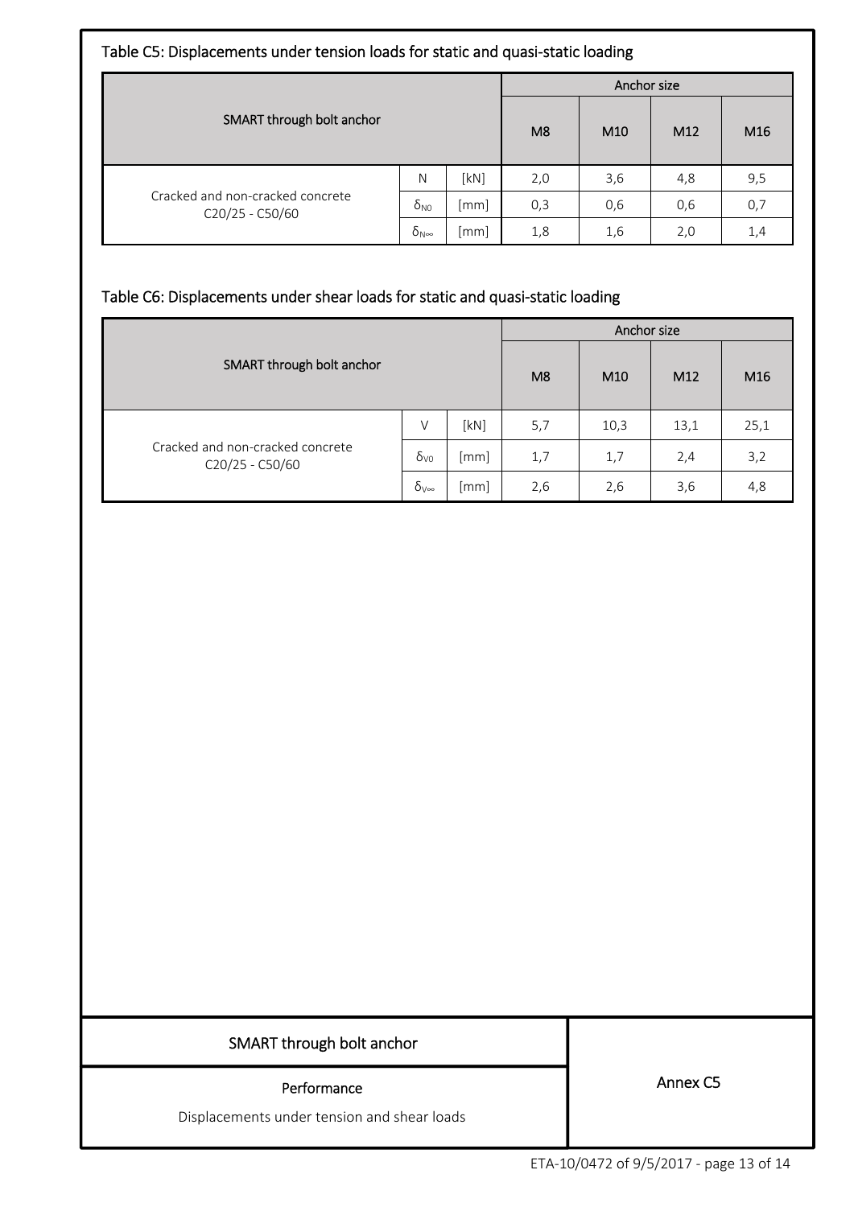| Table C5: Displacements under tension loads for static and quasi-static loading |                                |                    |                                                      |     |                 |     |  |
|---------------------------------------------------------------------------------|--------------------------------|--------------------|------------------------------------------------------|-----|-----------------|-----|--|
|                                                                                 |                                |                    | Anchor size                                          |     |                 |     |  |
| SMART through bolt anchor                                                       |                                |                    | M <sub>8</sub><br>M <sub>12</sub><br>M <sub>10</sub> |     | M <sub>16</sub> |     |  |
|                                                                                 | N                              | [kN]               | 2,0                                                  | 3,6 | 4,8             | 9,5 |  |
| Cracked and non-cracked concrete<br>C20/25 - C50/60                             | $\delta_{\text{NO}}$           | [mm]               | 0,3                                                  | 0,6 | 0,6             | 0,7 |  |
|                                                                                 | $\delta_{\mathsf{N}^{\infty}}$ | $\lceil mm \rceil$ | 1,8                                                  | 1,6 | 2,0             | 1,4 |  |

# Table C6: Displacements under shear loads for static and quasi‐static loading

|                                                     |                     |      | Anchor size    |                 |      |                 |  |  |
|-----------------------------------------------------|---------------------|------|----------------|-----------------|------|-----------------|--|--|
| SMART through bolt anchor                           |                     |      | M <sub>8</sub> | M <sub>10</sub> | M12  | M <sub>16</sub> |  |  |
| Cracked and non-cracked concrete<br>C20/25 - C50/60 | V                   | [kN] | 5,7            | 10,3            | 13,1 | 25,1            |  |  |
|                                                     | $\delta_{\rm V0}$   | [mm] | 1,7            | 1,7             | 2,4  | 3,2             |  |  |
|                                                     | $\delta_{V^\infty}$ | [mm] | 2,6            | 2,6             | 3,6  | 4,8             |  |  |

# SMART through bolt anchor

#### Performance

Displacements under tension and shear loads

Annex C5